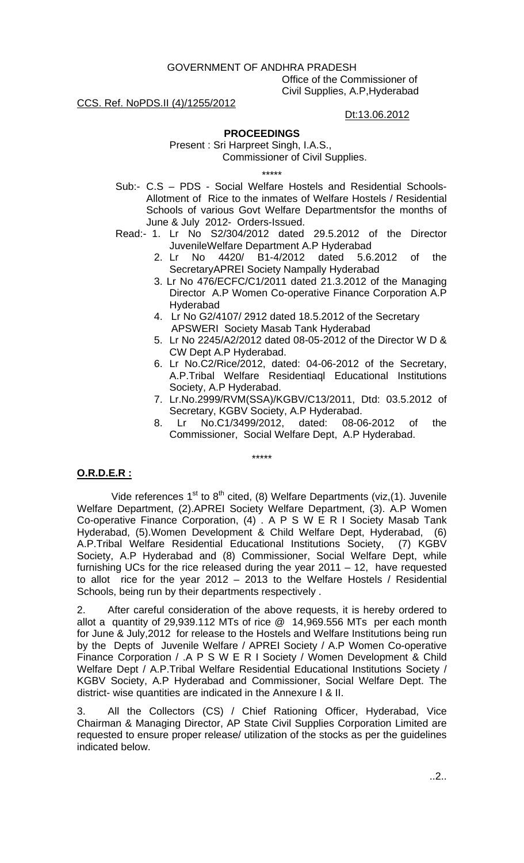GOVERNMENT OF ANDHRA PRADESH

Office of the Commissioner of Civil Supplies, A.P,Hyderabad

# CCS. Ref. NoPDS.II (4)/1255/2012

### Dt:13.06.2012

# **PROCEEDINGS**

 Present : Sri Harpreet Singh, I.A.S., Commissioner of Civil Supplies.

\*\*\*\*\*

- Sub:- C.S PDS Social Welfare Hostels and Residential Schools-Allotment of Rice to the inmates of Welfare Hostels / Residential Schools of various Govt Welfare Departmentsfor the months of June & July 2012- Orders-Issued.
- Read:- 1. Lr No S2/304/2012 dated 29.5.2012 of the Director JuvenileWelfare Department A.P Hyderabad
	- 2. Lr No 4420/ B1-4/2012 dated 5.6.2012 of the SecretaryAPREI Society Nampally Hyderabad
	- 3. Lr No 476/ECFC/C1/2011 dated 21.3.2012 of the Managing Director A.P Women Co-operative Finance Corporation A.P Hyderabad
	- 4. Lr No G2/4107/ 2912 dated 18.5.2012 of the Secretary APSWERI Society Masab Tank Hyderabad
	- 5. Lr No 2245/A2/2012 dated 08-05-2012 of the Director W D & CW Dept A.P Hyderabad.
	- 6. Lr No.C2/Rice/2012, dated: 04-06-2012 of the Secretary, A.P.Tribal Welfare Residentiaql Educational Institutions Society, A.P Hyderabad.
	- 7. Lr.No.2999/RVM(SSA)/KGBV/C13/2011, Dtd: 03.5.2012 of Secretary, KGBV Society, A.P Hyderabad.
	- 8. Lr No.C1/3499/2012, dated: 08-06-2012 of the Commissioner, Social Welfare Dept, A.P Hyderabad.

\*\*\*\*\*

# **O.R.D.E.R :**

Vide references  $1^{st}$  to  $8^{th}$  cited, (8) Welfare Departments (viz,(1). Juvenile Welfare Department, (2).APREI Society Welfare Department, (3). A.P Women Co-operative Finance Corporation, (4) . A P S W E R I Society Masab Tank Hyderabad, (5).Women Development & Child Welfare Dept, Hyderabad, (6) A.P.Tribal Welfare Residential Educational Institutions Society, (7) KGBV Society, A.P Hyderabad and (8) Commissioner, Social Welfare Dept, while furnishing UCs for the rice released during the year 2011 – 12, have requested to allot rice for the year 2012 – 2013 to the Welfare Hostels / Residential Schools, being run by their departments respectively .

2. After careful consideration of the above requests, it is hereby ordered to allot a quantity of 29,939.112 MTs of rice @ 14,969.556 MTs per each month for June & July,2012 for release to the Hostels and Welfare Institutions being run by the Depts of Juvenile Welfare / APREI Society / A.P Women Co-operative Finance Corporation / .A P S W E R I Society / Women Development & Child Welfare Dept / A.P.Tribal Welfare Residential Educational Institutions Society / KGBV Society, A.P Hyderabad and Commissioner, Social Welfare Dept. The district- wise quantities are indicated in the Annexure I & II.

3. All the Collectors (CS) / Chief Rationing Officer, Hyderabad, Vice Chairman & Managing Director, AP State Civil Supplies Corporation Limited are requested to ensure proper release/ utilization of the stocks as per the guidelines indicated below.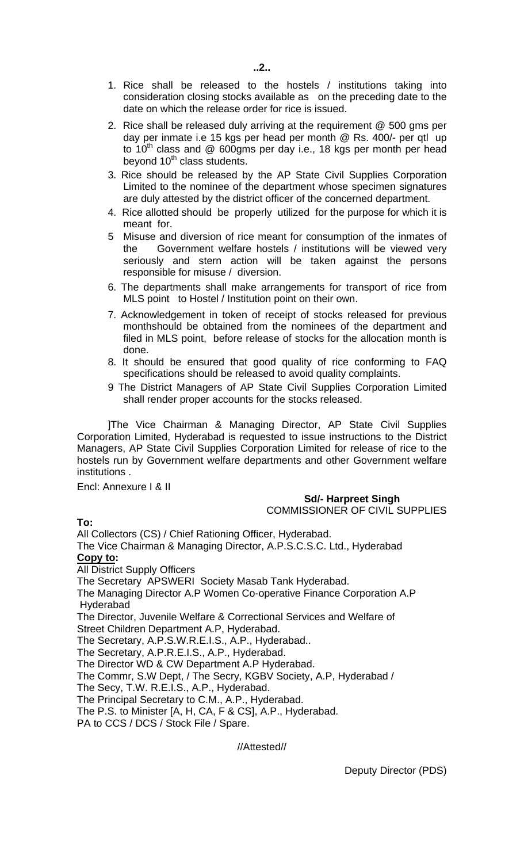- 1. Rice shall be released to the hostels / institutions taking into consideration closing stocks available as on the preceding date to the date on which the release order for rice is issued.
- 2. Rice shall be released duly arriving at the requirement @ 500 gms per day per inmate i.e 15 kgs per head per month @ Rs. 400/- per qtl up to  $10<sup>th</sup>$  class and @ 600gms per day i.e., 18 kgs per month per head beyond 10<sup>th</sup> class students.
- 3. Rice should be released by the AP State Civil Supplies Corporation Limited to the nominee of the department whose specimen signatures are duly attested by the district officer of the concerned department.
- 4. Rice allotted should be properly utilized for the purpose for which it is meant for.
- 5 Misuse and diversion of rice meant for consumption of the inmates of the Government welfare hostels / institutions will be viewed very seriously and stern action will be taken against the persons responsible for misuse / diversion.
- 6. The departments shall make arrangements for transport of rice from MLS point to Hostel / Institution point on their own.
- 7. Acknowledgement in token of receipt of stocks released for previous monthshould be obtained from the nominees of the department and filed in MLS point, before release of stocks for the allocation month is done.
- 8. It should be ensured that good quality of rice conforming to FAQ specifications should be released to avoid quality complaints.
- 9 The District Managers of AP State Civil Supplies Corporation Limited shall render proper accounts for the stocks released.

]The Vice Chairman & Managing Director, AP State Civil Supplies Corporation Limited, Hyderabad is requested to issue instructions to the District Managers, AP State Civil Supplies Corporation Limited for release of rice to the hostels run by Government welfare departments and other Government welfare institutions .

Encl: Annexure I & II

# **Sd/- Harpreet Singh**

COMMISSIONER OF CIVIL SUPPLIES

**To:** 

All Collectors (CS) / Chief Rationing Officer, Hyderabad. The Vice Chairman & Managing Director, A.P.S.C.S.C. Ltd., Hyderabad **Copy to:**  All District Supply Officers The Secretary APSWERI Society Masab Tank Hyderabad. The Managing Director A.P Women Co-operative Finance Corporation A.P Hyderabad The Director, Juvenile Welfare & Correctional Services and Welfare of Street Children Department A.P, Hyderabad. The Secretary, A.P.S.W.R.E.I.S., A.P., Hyderabad.. The Secretary, A.P.R.E.I.S., A.P., Hyderabad. The Director WD & CW Department A.P Hyderabad. The Commr, S.W Dept, / The Secry, KGBV Society, A.P, Hyderabad / The Secy, T.W. R.E.I.S., A.P., Hyderabad. The Principal Secretary to C.M., A.P., Hyderabad. The P.S. to Minister [A, H, CA, F & CS], A.P., Hyderabad. PA to CCS / DCS / Stock File / Spare.

//Attested//

Deputy Director (PDS)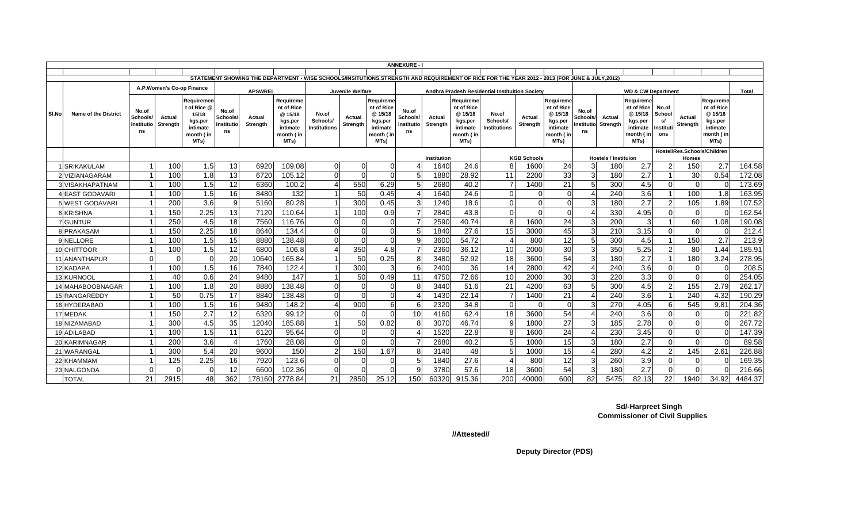|       | <b>ANNEXURE -</b>                                                                                        |                                       |                    |                                                                                |                                             |                    |                                                                                |                                   |                    |                                                                                |                                       |                           |                                                                                 |                                                                                                                                                |                           |                                                                               |                                        |                    |                                                                                 |                                          |                    |                                                                                |         |
|-------|----------------------------------------------------------------------------------------------------------|---------------------------------------|--------------------|--------------------------------------------------------------------------------|---------------------------------------------|--------------------|--------------------------------------------------------------------------------|-----------------------------------|--------------------|--------------------------------------------------------------------------------|---------------------------------------|---------------------------|---------------------------------------------------------------------------------|------------------------------------------------------------------------------------------------------------------------------------------------|---------------------------|-------------------------------------------------------------------------------|----------------------------------------|--------------------|---------------------------------------------------------------------------------|------------------------------------------|--------------------|--------------------------------------------------------------------------------|---------|
|       |                                                                                                          |                                       |                    |                                                                                |                                             |                    |                                                                                |                                   |                    |                                                                                |                                       |                           |                                                                                 | STATEMENT SHOWING THE DEPARTMENT - WISE SCHOOLS/INSITUTIONS, STRENGTH AND REQUIREMENT OF RICE FOR THE YEAR 2012 - 2013 (FOR JUNE & JULY, 2012) |                           |                                                                               |                                        |                    |                                                                                 |                                          |                    |                                                                                |         |
|       |                                                                                                          |                                       |                    |                                                                                |                                             |                    |                                                                                |                                   |                    |                                                                                |                                       |                           |                                                                                 |                                                                                                                                                |                           |                                                                               |                                        |                    |                                                                                 |                                          |                    |                                                                                |         |
|       |                                                                                                          |                                       |                    | A.P.Women's Co-op Finance                                                      |                                             | <b>APSWREI</b>     |                                                                                |                                   | Juvenile Welfare   |                                                                                |                                       |                           |                                                                                 | Andhra Pradesh Residential Instituition Society                                                                                                |                           |                                                                               |                                        |                    | <b>WD &amp; CW Department</b>                                                   |                                          |                    |                                                                                | Total   |
| SI.No | <b>Name of the District</b>                                                                              | No.of<br>Schools/<br>Institutio<br>ns | Actual<br>Strength | Reauiremen<br>t of Rice @<br>15/18<br>kgs.per<br>intimate<br>month (in<br>MTs) | No.of<br><b>Schools</b><br>Institutic<br>ns | Actual<br>Strength | Requireme<br>nt of Rice<br>@ 15/18<br>kgs.per<br>intimate<br>month (in<br>MTs) | No.of<br>Schools/<br>Institutions | Actual<br>Strenath | Requireme<br>nt of Rice<br>@15/18<br>kgs.per<br>intimate<br>month ( in<br>MTs) | No.of<br>Schools/<br>Institutio<br>ns | Actual<br><b>Strenath</b> | Reauireme<br>nt of Rice<br>@ 15/18<br>kgs.per<br>intimate<br>nonth ( in<br>MTs) | No.of<br>Schools/<br>Institutions                                                                                                              | Actual<br><b>Strenath</b> | Requireme<br>nt of Rice<br>@15/18<br>kgs.per<br>intimate<br>month (in<br>MTs) | No.of<br>Schools/<br>Institutiol<br>ns | Actual<br>Strenath | Requireme<br>nt of Rice<br>@ 15/18<br>kgs.per<br>intimate<br>nonth ( in<br>MTs) | No.of<br>School<br>s/<br>Institut<br>ons | Actual<br>Strength | Requireme<br>nt of Rice<br>@ 15/18<br>kgs.per<br>intimate<br>month (in<br>MTs) |         |
|       | Hostel/Res.Schools/Children<br>Institution<br><b>KGB Schools</b><br><b>Hostels / Instituion</b><br>Homes |                                       |                    |                                                                                |                                             |                    |                                                                                |                                   |                    |                                                                                |                                       |                           |                                                                                 |                                                                                                                                                |                           |                                                                               |                                        |                    |                                                                                 |                                          |                    |                                                                                |         |
|       | <b>SRIKAKULAM</b>                                                                                        |                                       | 100                | 1.5                                                                            | 13                                          | 6920               | 109.08                                                                         | $\Omega$                          | $\overline{0}$     | $\overline{0}$                                                                 |                                       | 1640                      | 24.6                                                                            | 8                                                                                                                                              | 1600                      | 24                                                                            | 3                                      | 180                | 2.7                                                                             | 2                                        | 150                | 2.7                                                                            | 164.58  |
|       | NZIANAGARAM!                                                                                             |                                       | 100                | 1.8                                                                            | 13                                          | 6720               | 105.12                                                                         | $\Omega$                          | $\Omega$           | $\Omega$                                                                       |                                       | 1880                      | 28.92                                                                           | 11                                                                                                                                             | 2200                      | 33                                                                            | 3                                      | 180                | 2.7                                                                             |                                          | 30                 | 0.54                                                                           | 172.08  |
|       | 3 VISAKHAPATNAM                                                                                          |                                       | 100                | 1.5                                                                            | 12                                          | 6360               | 100.2                                                                          | 4                                 | 550                | 6.29                                                                           |                                       | 2680                      | 40.2                                                                            | $\overline{7}$                                                                                                                                 | 1400                      | 21                                                                            | 5                                      | 300                | 4.5                                                                             | ∩                                        | $\Omega$           |                                                                                | 173.69  |
|       | 4 EAST GODAVARI                                                                                          |                                       | 100                | 1.5                                                                            | 16                                          | 8480               | 132                                                                            |                                   | 50                 | 0.45                                                                           |                                       | 1640                      | 24.6                                                                            | $\Omega$                                                                                                                                       | $\Omega$                  | $\Omega$                                                                      |                                        | 240                | 3.6                                                                             |                                          | 100                | 1.8                                                                            | 163.95  |
|       | 5 WEST GODAVARI                                                                                          |                                       | <b>200</b>         | 3.6                                                                            | $\mathbf{Q}$                                | 5160               | 80.28                                                                          |                                   | 300                | 0.45                                                                           |                                       | 1240                      | 18.6                                                                            | $\Omega$                                                                                                                                       | $\Omega$                  | $\Omega$                                                                      |                                        | 180                | 2.7                                                                             | っ                                        | 105                | 1.89                                                                           | 107.52  |
|       | 6 KRISHNA                                                                                                |                                       | 150                | 2.25                                                                           | 13                                          | 7120               | 110.64                                                                         | -1                                | 100                | 0.9                                                                            |                                       | 2840                      | 43.8                                                                            | $\Omega$                                                                                                                                       | $\Omega$                  | $\Omega$                                                                      |                                        | 330                | 4.95                                                                            | ∩                                        | $\Omega$           | $\sqrt{ }$                                                                     | 162.54  |
|       | 7 GUNTUR                                                                                                 |                                       | 250                | 4.5                                                                            | 18                                          | 7560               | 116.76                                                                         | $\Omega$                          | $\Omega$           | $\Omega$                                                                       |                                       | 2590                      | 40.74                                                                           | 8                                                                                                                                              | 1600                      | 24                                                                            |                                        | 200                | 3                                                                               |                                          | 60                 | 1.08                                                                           | 190.08  |
|       | 8 PRAKASAM                                                                                               |                                       | 150                | 2.25                                                                           | 18                                          | 8640               | 134.4                                                                          | $\Omega$                          | $\Omega$           | $\overline{0}$                                                                 |                                       | 1840                      | 27.6                                                                            | 15                                                                                                                                             | 3000                      | 45                                                                            |                                        | 210                | 3.15                                                                            | $\Omega$                                 | $\Omega$           | - 0                                                                            | 212.4   |
|       | 9 NELLORE                                                                                                |                                       | 100                | 1.5                                                                            | 15                                          | 8880               | 138.48                                                                         | $\Omega$                          | $\Omega$           | $\Omega$                                                                       | g                                     | 3600                      | 54.72                                                                           | $\boldsymbol{\Delta}$                                                                                                                          | 800                       | 12                                                                            |                                        | 300                | 4.5                                                                             |                                          | 150                | 2.7                                                                            | 213.9   |
|       | 10 CHITTOOR                                                                                              |                                       | 100                | 1.5                                                                            | 12                                          | 6800               | 106.8                                                                          | Δ                                 | 350                | 4.8                                                                            |                                       | 2360                      | 36.12                                                                           | 10                                                                                                                                             | 2000                      | 30                                                                            | 3                                      | 350                | 5.25                                                                            | 2                                        | 80                 | 1.44                                                                           | 185.91  |
|       | 11 ANANTHAPUR                                                                                            | $\Omega$                              |                    | $\Omega$                                                                       | 20                                          | 10640              | 165.84                                                                         |                                   | 50                 | 0.25                                                                           | 8                                     | 3480                      | 52.92                                                                           | 18                                                                                                                                             | 3600                      | 54                                                                            |                                        | 180                | 2.7                                                                             |                                          | 180                | 3.24                                                                           | 278.95  |
|       | 12 KADAPA                                                                                                |                                       | 100                | 1.5                                                                            | 16                                          | 7840               | 122.4                                                                          |                                   | 300                | 3                                                                              | -6                                    | 2400                      | 36                                                                              | 14                                                                                                                                             | 2800                      | 42                                                                            |                                        | 240                | 3.6                                                                             | ∩                                        | <sup>-</sup>       |                                                                                | 208.5   |
|       | 13 KURNOOL                                                                                               |                                       | 40                 | 0.6                                                                            | 24                                          | 9480               | 147                                                                            |                                   | 50                 | 0.49                                                                           | 11                                    | 4750                      | 72.66                                                                           | 10                                                                                                                                             | 2000                      | 30                                                                            |                                        | 220                | 3.3                                                                             | U                                        | $\Omega$           |                                                                                | 254.05  |
|       | 14 MAHABOOBNAGAR                                                                                         |                                       | 100                | 1.8                                                                            | 20                                          | 8880               | 138.48                                                                         | $\Omega$                          | $\mathbf{O}$       | $\overline{0}$                                                                 | 8                                     | 3440                      | 51.6                                                                            | 21                                                                                                                                             | 4200                      | 63                                                                            |                                        | 300                | 4.5                                                                             |                                          | 155                | 2.79                                                                           | 262.17  |
|       | 15 RANGAREDDY                                                                                            |                                       | 50                 | 0.75                                                                           | 17                                          | 8840               | 138.48                                                                         | $\Omega$                          | $\Omega$           | $\overline{0}$                                                                 |                                       | 1430                      | 22.14                                                                           | 7                                                                                                                                              | 1400                      | 21                                                                            |                                        | 240                | 3.6                                                                             |                                          | 240                | 4.32                                                                           | 190.29  |
|       | 16 HYDERABAD                                                                                             |                                       | 100                | 1.5                                                                            | 16                                          | 9480               | 148.2                                                                          | $\angle$                          | 900                | 6                                                                              | f                                     | 2320                      | 34.8                                                                            | $\Omega$                                                                                                                                       | $\Omega$                  | $\Omega$                                                                      |                                        | 270                | 4.05                                                                            | ี                                        | 545                | 9.81                                                                           | 204.36  |
|       | 17 MEDAK                                                                                                 |                                       | 150                | 2.7                                                                            | 12                                          | 6320               | 99.12                                                                          | $\Omega$                          | $\Omega$           | $\Omega$                                                                       | 10                                    | 4160                      | 62.4                                                                            | 18                                                                                                                                             | 3600                      | 54                                                                            |                                        | 240                | 3.6                                                                             | $\Omega$                                 | $\Omega$           |                                                                                | 221.82  |
|       | 18 NIZAMABAD                                                                                             |                                       | 300                | 4.5                                                                            | 35                                          | 12040              | 185.88                                                                         | $\overline{\mathbf{1}}$           | 50                 | 0.82                                                                           |                                       | 3070                      | 46.74                                                                           | 9                                                                                                                                              | 1800                      | 27                                                                            | 3                                      | 185                | 2.78                                                                            | U                                        | $\Omega$           |                                                                                | 267.72  |
|       | 19 ADILABAD                                                                                              |                                       | 100                | 1.5                                                                            | 11                                          | 6120               | 95.64                                                                          | $\Omega$                          | $\Omega$           | $\overline{0}$                                                                 |                                       | 1520                      | 22.8                                                                            | 8                                                                                                                                              | 1600                      | 24                                                                            |                                        | 230                | 3.45                                                                            | $\Omega$                                 | $\Omega$           |                                                                                | 147.39  |
|       | 20 KARIMNAGAR                                                                                            |                                       | <b>200</b>         | $\overline{3.6}$                                                               |                                             | 1760               | 28.08                                                                          | $\Omega$                          | $\Omega$           | $\Omega$                                                                       |                                       | 2680                      | 40.2                                                                            | 5                                                                                                                                              | 1000                      | $\overline{15}$                                                               |                                        | 180                | 2.7                                                                             | $\Omega$                                 | $\Omega$           | $\sqrt{ }$                                                                     | 89.58   |
|       | 21 WARANGAL                                                                                              |                                       | 300                | 5.4                                                                            | 20                                          | 9600               | 150                                                                            | $\overline{2}$                    | 150                | 1.67                                                                           | 8                                     | 3140                      | 48                                                                              | 5                                                                                                                                              | 1000                      | 15                                                                            |                                        | 280                | 4.2                                                                             | 2                                        | 145                | 2.61                                                                           | 226.88  |
|       | 22 KHAMMAM                                                                                               |                                       | 125                | 2.25                                                                           | 16                                          | 7920               | 123.6                                                                          | $\Omega$                          | $\overline{0}$     | $\overline{0}$                                                                 |                                       | 1840                      | 27.6                                                                            | Δ                                                                                                                                              | 800                       | 12                                                                            |                                        | 260                | 3.9                                                                             | U                                        | $\mathsf{C}$       |                                                                                | 169.35  |
|       | 23 NALGONDA                                                                                              | $\Omega$                              |                    | $\Omega$                                                                       | 12                                          | 6600               | 102.36                                                                         | $\Omega$                          | $\Omega$           | $\Omega$                                                                       |                                       | 3780                      | 57.6                                                                            | 18                                                                                                                                             | 3600                      | 54                                                                            |                                        | 180                | 2.7                                                                             | U                                        |                    |                                                                                | 216.66  |
|       | <b>TOTAL</b>                                                                                             | 21                                    | 2915               | 48                                                                             | 362                                         | 178160             | 2778.84                                                                        | 21                                | 2850               | 25.12                                                                          | 150                                   | 60320                     | 915.36                                                                          | 200                                                                                                                                            | 40000                     | 600                                                                           | 82                                     | 5475               | 82.13                                                                           | 22                                       | 1940               | 34.92                                                                          | 4484.37 |

**Sd/-Harpreet Singh Commissioner of Civil Supplies**

**//Attested//**

**Deputy Director (PDS)**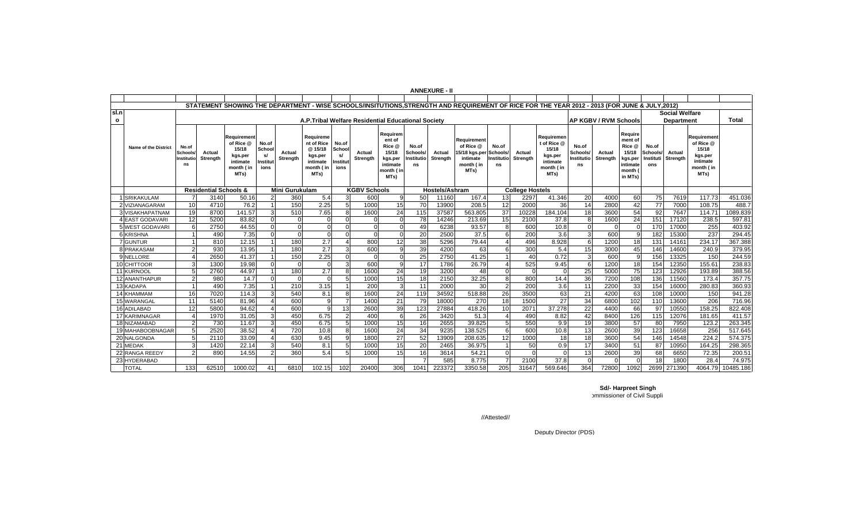|         |                             |                                      |                                  |                                                                                                                                                |                                           |                           |                                                                                |                                           |                     |                                                                                   |                                              | <b>ANNEXURE - II</b> |                                                                            |                                       |                        |                                                                                |                                       |                              |                                                                                    |                                             |                           |                                                                               |           |
|---------|-----------------------------|--------------------------------------|----------------------------------|------------------------------------------------------------------------------------------------------------------------------------------------|-------------------------------------------|---------------------------|--------------------------------------------------------------------------------|-------------------------------------------|---------------------|-----------------------------------------------------------------------------------|----------------------------------------------|----------------------|----------------------------------------------------------------------------|---------------------------------------|------------------------|--------------------------------------------------------------------------------|---------------------------------------|------------------------------|------------------------------------------------------------------------------------|---------------------------------------------|---------------------------|-------------------------------------------------------------------------------|-----------|
|         |                             |                                      |                                  |                                                                                                                                                |                                           |                           |                                                                                |                                           |                     |                                                                                   |                                              |                      |                                                                            |                                       |                        |                                                                                |                                       |                              |                                                                                    |                                             |                           |                                                                               |           |
|         |                             |                                      |                                  | STATEMENT SHOWING THE DEPARTMENT - WISE SCHOOLS/INSITUTIONS, STRENGTH AND REQUIREMENT OF RICE FOR THE YEAR 2012 - 2013 (FOR JUNE & JULY, 2012) |                                           |                           |                                                                                |                                           |                     |                                                                                   |                                              |                      |                                                                            |                                       |                        |                                                                                |                                       |                              |                                                                                    |                                             |                           |                                                                               |           |
| lsl.n   |                             |                                      |                                  |                                                                                                                                                |                                           |                           |                                                                                |                                           |                     |                                                                                   |                                              |                      |                                                                            |                                       |                        |                                                                                |                                       |                              |                                                                                    |                                             | <b>Social Welfare</b>     |                                                                               |           |
| $\circ$ |                             |                                      |                                  |                                                                                                                                                |                                           |                           | A.P.Tribal Welfare Residential Educational Society                             |                                           |                     |                                                                                   |                                              |                      |                                                                            |                                       |                        |                                                                                |                                       | <b>AP KGBV / RVM Schools</b> |                                                                                    |                                             | <b>Department</b>         |                                                                               | Total     |
|         | <b>Name of the District</b> | No.of<br>Schools<br>Institutio<br>ns | Actual<br>Strenath               | Reauirement<br>of Rice @<br>15/18<br>kgs.per<br>intimate<br>month (in<br>MTs)                                                                  | No.of<br>School<br>s/<br>Institut<br>ions | Actual<br><b>Strenath</b> | Requireme<br>nt of Rice<br>@ 15/18<br>kgs.per<br>intimate<br>month (in<br>MTs) | No.of<br>School<br>s/<br>Institut<br>ions | Actual<br>Strenath  | Requirem<br>ent of<br>Rice @<br>15/18<br>kgs.per<br>intimate<br>month (in<br>MTs) | No.of<br>Schools/<br><b>Institutio</b><br>ns | Actual<br>Strength   | Requirement<br>of Rice @<br>15/18 kgs.per<br>intimate<br>month (in<br>MTs) | No.of<br>Schools/<br>Institutio<br>ns | Actual<br>Strenath     | Requiremer<br>t of Rice @<br>15/18<br>kgs.per<br>intimate<br>month (in<br>MTs) | No.of<br>Schools/<br>Institutio<br>ns | Actual<br>Strength           | Require<br>ment of<br>Rice @<br>15/18<br>kgs.per<br>intimate<br>month (<br>in MTs) | No.of<br><b>Schools</b><br>Instituti<br>ons | Actual<br><b>Strenath</b> | Requirement<br>of Rice @<br>15/18<br>kgs.per<br>intimate<br>month (in<br>MTs) |           |
|         |                             |                                      | <b>Residential Schools &amp;</b> |                                                                                                                                                |                                           | <b>Mini Gurukulam</b>     |                                                                                |                                           | <b>KGBV Schools</b> |                                                                                   |                                              | Hostels/Ashram       |                                                                            |                                       | <b>College Hostels</b> |                                                                                |                                       |                              |                                                                                    |                                             |                           |                                                                               |           |
|         | <b>SRIKAKULAM</b>           |                                      | 3140                             | 50.16                                                                                                                                          | 2                                         | 360                       | 5.4                                                                            | 3                                         | 600                 |                                                                                   | 50                                           | 11160                | 167.4                                                                      | 13                                    | 2297                   | 41.346                                                                         | 20                                    | 4000                         | 60                                                                                 | 75                                          | 7619                      | 117.73                                                                        | 451.036   |
|         | 2 VIZIANAGARAM              | 10                                   | 4710                             | 76.2                                                                                                                                           |                                           | 150                       | 2.25                                                                           | $\overline{5}$                            | 1000                | 15                                                                                | 70                                           | 13900                | 208.5                                                                      | 12                                    | 2000                   | 36                                                                             | 14                                    | 2800                         | 42                                                                                 | 77                                          | 7000                      | 108.75                                                                        | 488.7     |
|         | <b>3 VISAKHAPATNAM</b>      | 19                                   | 8700                             | 141.57                                                                                                                                         | 3                                         | 510                       | 7.65                                                                           | 8                                         | 1600                | 24                                                                                | 115                                          | 37587                | 563.805                                                                    | $\overline{37}$                       | 10228                  | 184.104                                                                        | 18                                    | 3600                         | 54                                                                                 | 92                                          | 7647                      | 114.71                                                                        | 1089.839  |
|         | <b>4 EAST GODAVARI</b>      | 12                                   | 5200                             | 83.82                                                                                                                                          | $\Omega$                                  | $\Omega$                  | U                                                                              | $\Omega$                                  |                     |                                                                                   | 78                                           | 14246                | 213.69                                                                     | 15                                    | 2100                   | 37.8                                                                           | 8                                     | 1600                         | $\overline{24}$                                                                    | 151                                         | 17120                     | 238.5                                                                         | 597.8'    |
|         | 5 WEST GODAVARI             |                                      | 2750                             | 44.55                                                                                                                                          | $\Omega$                                  | $\Omega$                  | $\Omega$                                                                       | $\Omega$                                  | $\Omega$            |                                                                                   | 49                                           | 6238                 | 93.57                                                                      | 8                                     | 600                    | 10.8                                                                           | $\Omega$                              |                              | $\Omega$                                                                           | 170                                         | 17000                     | 255                                                                           | 403.92    |
|         | 6 KRISHNA                   |                                      | 490                              | 7.35                                                                                                                                           | U                                         | $\Omega$                  | $\Omega$                                                                       | $\Omega$                                  | $\Omega$            |                                                                                   | 20                                           | 2500                 | 37.5                                                                       | 6                                     | 200                    | 3.6                                                                            | 3                                     | 600                          | $\alpha$                                                                           | 182                                         | 15300                     | 237                                                                           | 294.45    |
|         | <b>7</b> GUNTUR             |                                      | 810                              | 12.15                                                                                                                                          |                                           | 180                       | 2.7                                                                            | $\Delta$                                  | 800                 | 12                                                                                | $\overline{38}$                              | 5296                 | 79.44                                                                      | $\boldsymbol{\Delta}$                 | 496                    | 8.928                                                                          | 6                                     | 1200                         | 18                                                                                 | 131                                         | 14161                     | 234.17                                                                        | 367.388   |
|         | 8 PRAKASAM                  |                                      | 930                              | 13.95                                                                                                                                          |                                           | 180                       | $\overline{2.7}$                                                               | 3                                         | 600                 |                                                                                   | 39                                           | 4200                 | 63                                                                         | 6                                     | 300                    | 5.4                                                                            | 15                                    | 3000                         | 45                                                                                 | 146                                         | 14600                     | 240.9                                                                         | 379.95    |
|         | <b>NELLORE</b>              |                                      | 2650                             | 41.37                                                                                                                                          |                                           | 150                       | 2.25                                                                           | $\Omega$                                  | $\Omega$            |                                                                                   | 25                                           | 2750                 | 41.25                                                                      |                                       | 40                     | 0.72                                                                           | 3                                     | 600                          | 9                                                                                  | 156                                         | 13325                     | 150                                                                           | 244.59    |
|         | 10 CHITTOOR                 |                                      | 1300                             | 19.98                                                                                                                                          |                                           | $\Omega$                  | $\Omega$                                                                       | 3                                         | 600                 |                                                                                   | 17                                           | 1786                 | 26.79                                                                      | $\overline{4}$                        | 525                    | 9.45                                                                           | $\epsilon$                            | 1200                         | 18                                                                                 | 154                                         | 12350                     | 155.61                                                                        | 238.83    |
|         | 11 KURNOOL                  |                                      | 2760                             | 44.97                                                                                                                                          |                                           | 180                       | 2.7                                                                            | 8                                         | 1600                | 24                                                                                | 19                                           | 3200                 | 48                                                                         | $\mathbf 0$                           | $\Omega$               |                                                                                | 25                                    | 5000                         | $\overline{75}$                                                                    | 123                                         | 12926                     | 193.89                                                                        | 388.56    |
|         | 12 ANANTHAPUR               |                                      | 980                              | 14.7                                                                                                                                           | $\Omega$                                  | $\Omega$                  | $\Omega$                                                                       | $\overline{5}$                            | 1000                | 15                                                                                | 18                                           | 2150                 | 32.25                                                                      | 8                                     | 800                    | 14.4                                                                           | 36                                    | 7200                         | 108                                                                                | 136                                         | 11560                     | 173.4                                                                         | 357.75    |
|         | 13 KADAPA                   |                                      | 490                              | 7.35                                                                                                                                           |                                           | 210                       | 3.15                                                                           | $\overline{1}$                            | 200                 |                                                                                   | 11                                           | 2000                 | 30                                                                         | $\overline{2}$                        | 200                    | 3.6                                                                            | 11                                    | 2200                         | 33                                                                                 | 154                                         | 16000                     | 280.83                                                                        | 360.93    |
|         | 14 KHAMMAM                  | 16                                   | 7020                             | 114.3                                                                                                                                          |                                           | 540                       | 8.1                                                                            | 8                                         | 1600                | 24                                                                                | 119                                          | 34592                | 518.88                                                                     | 26                                    | 3500                   | 63                                                                             | 21                                    | 4200                         | 63                                                                                 | 108                                         | 10000                     | 150                                                                           | 941.28    |
|         | 15 WARANGAL                 | 11                                   | 5140                             | 81.96                                                                                                                                          |                                           | 600                       | 9                                                                              | 7                                         | 1400                | 21                                                                                | 79                                           | 18000                | 270                                                                        | 18                                    | 1500                   | 27                                                                             | 34                                    | 6800                         | 102                                                                                | 110                                         | 13600                     | 206                                                                           | 716.96    |
|         | 16 ADILABAD                 | 12                                   | 5800                             | 94.62                                                                                                                                          |                                           | 600                       | 9                                                                              | 13                                        | 2600                | 39                                                                                | 123                                          | 27884                | 418.26                                                                     | 10                                    | 2071                   | 37.278                                                                         | 22                                    | 4400                         | 66                                                                                 | 97                                          | 10550                     | 158.25                                                                        | 822.408   |
|         | 17 KARIMNAGAR               |                                      | 1970                             | 31.05                                                                                                                                          |                                           | 450                       | 6.75                                                                           | $\mathcal{P}$                             | 400                 |                                                                                   | 26                                           | 3420                 | 51.3                                                                       | $\overline{4}$                        | 490                    | 8.82                                                                           | 42                                    | 8400                         | 126                                                                                | 115                                         | 12076                     | 181.65                                                                        | 411.57    |
|         | 18 NIZAMABAD                |                                      | 730                              | 11.67                                                                                                                                          |                                           | 450                       | 6.75                                                                           | $\overline{5}$                            | 1000                | 15                                                                                | 16                                           | 2655                 | 39.825                                                                     | 5                                     | 550                    | 9.9                                                                            | 19                                    | 3800                         | 57                                                                                 | 80                                          | 7950                      | 123.2                                                                         | 263.345   |
|         | 19 MAHABOOBNAGAR            |                                      | 2520                             | 38.52                                                                                                                                          |                                           | 720                       | 10.8                                                                           | 8                                         | 1600                | 24                                                                                | 34                                           | 9235                 | 138.525                                                                    | 6                                     | 600                    | 10.8                                                                           | 13                                    | 2600                         | 39                                                                                 | 123                                         | 16658                     | 256                                                                           | 517.645   |
|         | 20 NALGONDA                 |                                      | 2110                             | 33.09                                                                                                                                          |                                           | 630                       | 9.45                                                                           | q                                         | 1800                | 27                                                                                | 52                                           | 13909                | 208.635                                                                    | 12                                    | 1000                   | 18                                                                             | 18                                    | 3600                         | 54                                                                                 | 146                                         | 14548                     | 224.2                                                                         | 574.375   |
|         | 21 MEDAK                    |                                      | 1420                             | 22.14                                                                                                                                          |                                           | 540                       | 8.1                                                                            | 5                                         | 1000                | 15                                                                                | 20                                           | 2465                 | 36.975                                                                     |                                       | 50                     | 0.9                                                                            | 17                                    | 3400                         | 51                                                                                 | 87                                          | 10950                     | 164.25                                                                        | 298.365   |
|         | 22 RANGA REEDY              |                                      | 890                              | 14.55                                                                                                                                          |                                           | 360                       | 5.4                                                                            | .5                                        | 1000                | 15                                                                                | 16                                           | 3614                 | 54.21                                                                      | $\Omega$                              | $\Omega$               |                                                                                | 13                                    | 2600                         | 39                                                                                 | 68                                          | 6650                      | 72.35                                                                         | 200.51    |
|         | 23 HYDERABAD                |                                      |                                  |                                                                                                                                                |                                           |                           |                                                                                |                                           |                     |                                                                                   |                                              | 585                  | 8.775                                                                      |                                       | 2100                   | 37.8                                                                           | $\mathsf{r}$                          |                              | $\Omega$                                                                           | 18                                          | 1800                      | 28.4                                                                          | 74.975    |
|         | <b>TOTAL</b>                | 133                                  | 62510                            | 1000.02                                                                                                                                        | 41                                        | 6810                      | 102.15                                                                         | 102                                       | 20400               | 306                                                                               | 1041                                         | 223372               | 3350.58                                                                    | 205                                   | 31647                  | 569.646                                                                        | 364                                   | 72800                        | 1092                                                                               | 2699                                        | 271390                    | 4064.79                                                                       | 10485.186 |

**Sd/- Harpreet Singh** ommissioner of Civil Suppli

//Attested//

Deputy Director (PDS)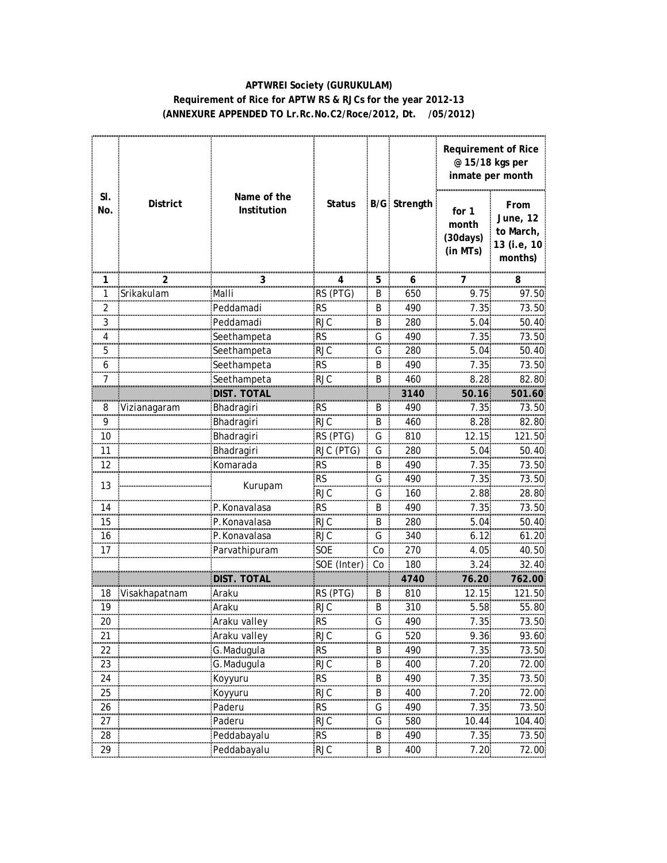### **APTWREI Society (GURUKULAM) Requirement of Rice for APTW RS & RJCs for the year 2012-13 (ANNEXURE APPENDED TO Lr.Rc.No.C2/Roce/2012, Dt. /05/2012)**

|                         |                 |                            |                |       |                     |                                         | <b>Requirement of Rice</b><br>@ 15/18 kgs per<br>inmate per month |  |
|-------------------------|-----------------|----------------------------|----------------|-------|---------------------|-----------------------------------------|-------------------------------------------------------------------|--|
| SI.<br>No.              | <b>District</b> | Name of the<br>Institution | <b>Status</b>  |       | <b>B/G Strength</b> | for 1<br>month<br>(30 days)<br>(in MTs) | From<br>June, 12<br>to March,<br>13 (i.e, 10<br>months)           |  |
| 1                       | $\overline{a}$  | 3                          |                | 5     | 6                   |                                         | 8                                                                 |  |
| 1                       | Srikakulam      | Malli                      | RS (PTG)       | B     | 650                 | 9.75                                    | 97.50                                                             |  |
| $\overline{\mathbf{c}}$ |                 | Peddamadi                  | <b>RS</b>      | B     | 490                 | 7.35                                    | 73.50                                                             |  |
| 3                       |                 | Peddamadi                  | <b>RJC</b>     | B     | 280                 | 5.04                                    | 50.40                                                             |  |
| 4                       |                 | Seethampeta                | <b>RS</b>      | G     | 490                 | 7.35                                    | 73.50                                                             |  |
| 5<br>                   |                 | Seethampeta                | <b>RJC</b>     | G     | 280                 | 5.04                                    | 50.40                                                             |  |
| 6                       |                 | Seethampeta                | RS             | B     | 490                 | 7.35                                    | 73.50                                                             |  |
| 7                       |                 | Seethampeta                | <b>RJC</b>     | B     | 460                 | 8.28                                    | 82.80                                                             |  |
|                         |                 | DIST. TOTAL                |                |       | 3140                | 50.16                                   | 501.60                                                            |  |
| 8                       | Vizianagaram    | Bhadragiri                 | <b>RS</b>      | B     | 490                 | 7.35                                    | 73.50                                                             |  |
| $\frac{9}{2}$           |                 | Bhadragiri                 | <b>RJC</b>     | B     | 460                 | 8.28                                    | 82.80                                                             |  |
| 10                      |                 | Bhadragiri                 | RS (PTG)       | G     | 810                 | 12.15                                   | 121.50                                                            |  |
| 11                      |                 | Bhadragiri                 | RJC (PTG)      | G     | 280                 | 5.04                                    | 50.40                                                             |  |
| 12                      |                 | Komarada                   | <b>RS</b>      | B     | 490                 | 7.35                                    | 73.50                                                             |  |
| 13                      |                 |                            | <b>RS</b><br>. | G     | 490                 | 7.35                                    | 73.50<br>                                                         |  |
|                         |                 | Kurupam                    | <b>RJC</b>     | G     | 160                 | 2.88                                    | 28.80                                                             |  |
| 14                      |                 | P.Konavalasa               | <b>RS</b>      | B     | 490                 | 7.35                                    | 73.50                                                             |  |
| 15                      |                 | P.Konavalasa               | RJC            | B     | 280                 | 5.04                                    | 50.40                                                             |  |
| 16                      |                 | P.Konavalasa               | <b>RJC</b>     | G     | 340                 | 6.12                                    | 61.20                                                             |  |
| 17                      |                 | Parvathipuram              | SOE            | Co    | 270                 | 4.05                                    | 40.50                                                             |  |
|                         |                 |                            | SOE (Inter)    | Co    | 180                 | 3.24                                    | 32.40                                                             |  |
|                         |                 | DIST.<br>TOTAL             |                |       | 4740                | 76.20                                   | 762.00                                                            |  |
| 18                      | Visakhapatnam   | Araku                      | RS (PTG)       | В<br> | 810                 | 12.15<br>.                              | 121.50<br>                                                        |  |
| 19                      |                 | Araku                      | <b>RJC</b>     | B     | 310                 | 5.58                                    | 55.80                                                             |  |
| 20                      |                 | :Araku vallev              | <b>RS</b>      | G     | 490                 | 7.35                                    | 73.50.                                                            |  |
| 21                      |                 | Araku valley               | <b>RJC</b>     | G     | 520                 | 9.36                                    | 93.60                                                             |  |
| 22                      |                 | G.Madugula                 | <b>RS</b>      | B     | 490                 | 7.35                                    | 73.50                                                             |  |
| 23                      |                 | G.Madugula                 | <b>RJC</b>     | B     | 400                 | 7.20                                    | 72.00                                                             |  |
| 24                      |                 | Koyyuru                    | $\mathsf{RS}$  | B     | 490                 | 7.35                                    | 73.50                                                             |  |
| 25                      |                 | Koyyuru                    | RJC            | Β     | 400                 | 7.20                                    | 72.00                                                             |  |
| 26                      |                 | Paderu                     | <b>RS</b>      | G     | 490                 | 7.35                                    | 73.50                                                             |  |
| 27                      |                 | Paderu                     | <b>RJC</b>     | G     | 580                 | 10.44                                   | 104.40.                                                           |  |
| 28                      |                 | Peddabayalu                | <b>RS</b>      | B     | 490                 | 7.35                                    | 73.50                                                             |  |
| 29                      |                 | Peddabayalu                | <b>RJC</b>     | B     | 400                 | 7.20                                    | 72.00                                                             |  |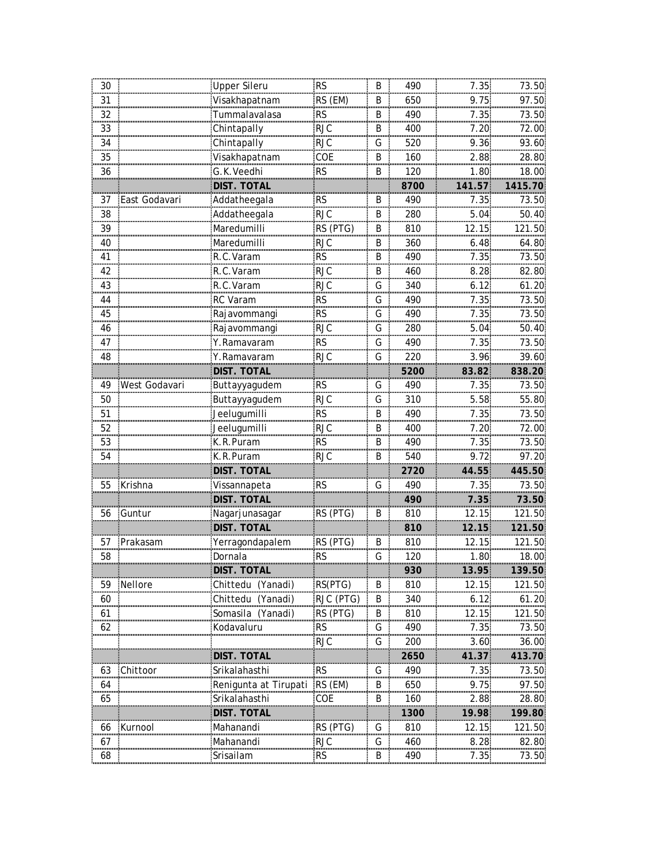| 30       |                | Upper Sileru          | <b>RS</b>                            | B        | 490          | 7.35            | 73.50          |
|----------|----------------|-----------------------|--------------------------------------|----------|--------------|-----------------|----------------|
| 31       |                | <br>Visakhapatnam     | RS (EM)                              | B        | 650          | 9.75            | 97.50          |
| 32       |                | Tummalavalasa         | <b>RS</b>                            | B        | 490          | 7.35            | 73.50          |
| 33       |                | Chintapally           | <b>RJC</b>                           | B        | 400          | 7.20            | 72.00          |
| 34       |                | Chintapally           | <b>RJC</b>                           | G        | 520          | 9.36            | 93.60          |
| 35       |                | Visakhapatnam         | COE                                  | B        | 160          | 2.88            | 28.80          |
| 36       |                | G.K.Veedhi            | <b>RS</b>                            | B        | 120          | 1.80            | 18.00          |
|          |                | <b>DIST. TOTAL</b>    |                                      |          | 8700         | 141.57          | 1415.70        |
| 37       | East Godavari  | Addatheegala          | <b>RS</b><br>munikasi <mark>.</mark> | B<br>    | 490          | 7.35<br>        | 73.50          |
| 38<br>m. |                |                       | <b>RJC</b>                           | B        | 280<br>----- | $5.04$          | 50.40          |
| 39       |                | Maredumilli           | RS (PTG)                             | B        | 810          | 12.15           | 121.50         |
| 40       |                | Maredumilli           | <b>RJC</b>                           | B        | 360          | 6.48            | 64.80          |
| 41       |                | R.C.Varam             | <b>RS</b>                            | B        | 490          | 7.35            | 73.50          |
| 42       |                | R.C.Varam             | <b>RJC</b>                           | B        | 460          | 8.28            | 82.80          |
| 43       |                | R.C.Varam             | <b>RJC</b>                           | G        | 340          | 6.12            | 61.20          |
| 44       |                | RC Varam              | RS                                   | G        | 490          | 7.35            | 73.50          |
| 45       |                | Rajavommangi          | <b>RS</b>                            | G        | 490          | 7.35            | 73.50          |
| 46       |                | Rajavommangi          | <b>RJC</b>                           | G        | 280          | 5.04            | 50.40          |
| 47       |                | Y.Ramavaram           | $\overline{\text{RS}}$               | G        | 490          | 7.35            | 73.50          |
| 48       |                | Y.Ramavaram           | <b>RJC</b>                           | G        | 220          | 3.96            | 39.60          |
|          |                | DIST. TOTAL           |                                      |          | 5200         | 83.82           | 838.20         |
| 49       | West Godavari  | Buttayyagudem         | <b>RS</b>                            | G        | 490          | 7.35            | 73.50          |
| 50       |                | Buttayyagudem         | <b>RJC</b>                           | G        | 310          | 5.58            | 55.80          |
| 51       |                | Jeelugumilli          | <b>RS</b>                            | B        | 490          | 7.35            | 73.50          |
| 52       |                | Jeelugumilli          | <b>RJC</b>                           | B        | 400          | 7.20            | 72.00          |
| 53       |                | K.R.Puram             | <b>RS</b>                            | B        | 490          | 7.35            | 73.50          |
| <br>54   |                | K.R.Puram             | .<br>RJC                             | um.<br>B | 540          | 9.72            | 97.20          |
|          |                | DIST. TOTAL           |                                      |          | 2720         | 44.55           | 445.50         |
| 55       | <b>Krishna</b> | Vissannapeta          | <b>RS</b>                            | G        | 490          | 7.35            | 73.50          |
|          |                | <b>DIST. TOTAL</b>    |                                      |          | 490          | 7.35.           | 73.50          |
| 56       | Guntur         | Nagarjunasagar        | RS (PTG)                             | B        | 810          | 12.15           | 121.50         |
|          |                | <b>DIST. TOTAL</b>    |                                      |          | 810          | 12.15           | 121.50         |
| 57       | Prakasam       | Yerragondapalem       | RS (PTG)                             | B        | 810          | 12.15           | 121.50         |
| 58       |                | Dornala               | <b>RS</b>                            | G        | 120          | 1.80            | 18.00          |
|          |                | <b>DIST. TOTAL</b>    |                                      |          | 930          | 13.95           | 139.50         |
| 59       | :Nellore       | Chittedu (Yanadi)     | RS(PTG)                              | B        | 810          | 12.15           | 121.50.        |
| 60       |                | Chittedu (Yanadi)     | RJC (PTG)                            | B        | 340          | 6.12            | 61.20          |
| 61       |                | Somasila (Yanadi)     | RS (PTG)                             | B        | 810          | 12.15           | <u> 121.50</u> |
| 62       |                | Kodavaluru            | <b>RS</b>                            | G        | 490          | 7.35            | 73.50          |
|          |                |                       | <b>RJC</b>                           | G        | 200          | 3.60            | 36.00          |
|          |                | DIST. TOTAI           |                                      |          | 2650         | 41.37           | 413.70         |
| 63       | Chittool       | Srikalahasthi         | <b>RS</b>                            | G        | 490          | 7.35            | 73.50.         |
| 64       |                | Renigunta at Tirupati | RS (EM)                              | B        | 650          | 9.75            | 97.50.         |
| 65       |                | Srikalahasthi         | COE                                  | B        | 160          | <br>2.88        | 28.80          |
|          |                | DIST. TOTAL           |                                      |          | 1300         | 19.98.          | 199.80         |
| 66       | :Kurnool       | Mahanandi             | RS (PTG)                             | G        | 810          | $12.15^{\circ}$ | 121.50         |
| 67       |                | Mahanandi             | RJC                                  | G        | 460          | 8.28            | 82.80          |
| 68       |                | Srisailam             | RS                                   | B        | 490          | 7.35.           | 73.50.         |
|          |                |                       |                                      |          |              |                 |                |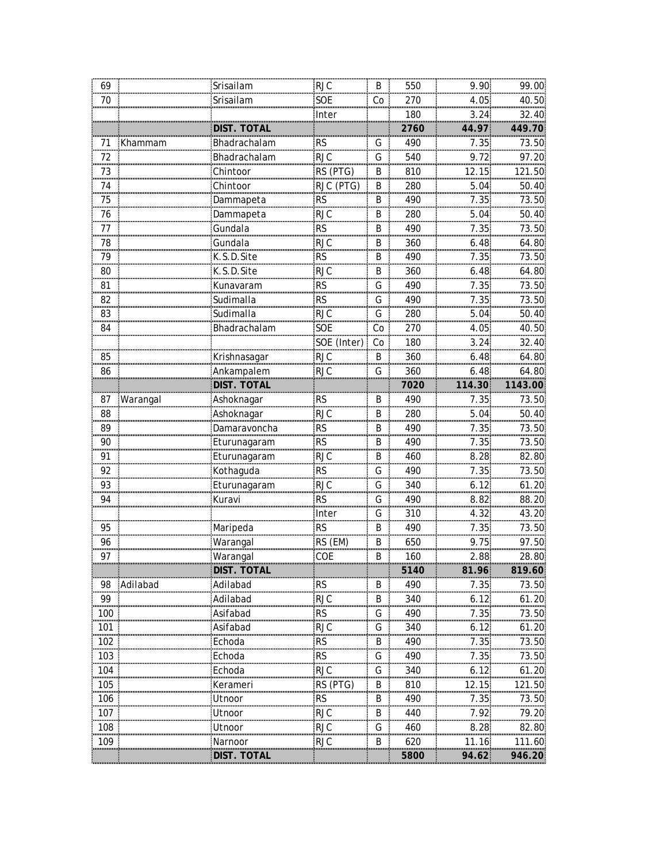| 69             |           | Srisailam          | <b>RJC</b>             | B       | 550     | 9.90     | 99.00   |
|----------------|-----------|--------------------|------------------------|---------|---------|----------|---------|
| 70             |           | Srisailam          | SOE                    | Co      | 270     | 4.05     | 40.50   |
|                |           |                    | Inter                  |         | 180     | 3.24     | 32.40   |
|                |           | DIST. TOTAL        |                        |         | 2760    | 44.97    | 449.70  |
| 71             | Khammam   | Bhadrachalam       | <b>RS</b>              | G       | 490     | 7.35     | 73.50   |
| 72             |           | Bhadrachalam       | <b>RJC</b>             | G       | 540     | 9.72     | 97.20   |
| 73             |           | Chintoor           | RS (PTG)               | B       | 810     | 12.15    | 121.50  |
| 74             |           | Chintoor           | RJC (PTG)              | B       | 280     | 5.04     | 50.40   |
| 75             |           | Dammapeta          | RS                     | B<br>   | 490<br> | 7.35<br> | 73.50   |
| 76<br>         |           | Dammapeta          | <b>RJC</b>             | B<br>œ  | 280     | 5.04     | 50.40   |
| 77             |           | Gundala            | <b>RS</b>              | B       | 490     | 7.35     | 73.50   |
| 78             |           | Gundala            | <b>RJC</b>             | B       | 360     | 6.48.    | 64.80   |
| 79             |           | K.S.D.Site         | <b>RS</b>              | B       | 490     | 7.35     | 73.50   |
| 80             |           | K.S.D.Site         | <b>RJC</b>             | B       | 360     | 6.48     | 64.80.  |
| 81             |           | Kunavaram          | <b>RS</b>              | G       | 490     | 7.35     | 73.50   |
| 82             |           | Sudimalla          | <b>RS</b>              | G       | 490     | 7.35     | 73.50   |
| 83             |           | Sudimalla          | <b>RJC</b>             | G       | 280     | 5.04     | 50.40   |
| 84             |           | Bhadrachalam       | SOE                    | Co      | 270     | 4.05     | 40.50   |
|                |           |                    | SOE (Inter)            | Co      | 180     | 3.24     | 32.40   |
| 85             |           | Krishnasagar       | <b>RJC</b>             | B       | 360     | 6.48     | 64.80   |
| 86             |           | Ankampalem         | <b>RJC</b>             | G       | 360     | 6.48     | 64.80   |
|                |           | <u>DIST. TOTAL</u> |                        |         | 7020    | 114.30   | 1143.00 |
| 87             | Warangal  | Ashoknagar         | <b>RS</b>              | B       | 490     | 7.35     | 73.50   |
| 88             |           | Ashoknagar         | <b>RJC</b>             | $\sf B$ | 280     | 5.04     | 50.40   |
| 89             |           | Damaravoncha       | $\overline{\text{RS}}$ | B       | 490     | 7.35     | 73.50   |
| 90             |           | Eturunagaram       | <b>RS</b>              | B       | 490     | 7.35     | 73.50   |
| $\frac{91}{2}$ |           | Eturunagaram       | <br><b>RJC</b>         | <br>B   | 460     | <br>8.28 | 82.80   |
| 92             |           | Kothaguda          | <b>RS</b>              | G       | 490     | 7.35     | 73.50   |
| 93             |           | Eturunagaram       | <b>RJC</b>             | G       | 340     | 6.12     | 61.20   |
| 94             |           | Kuravi             | <b>RS</b>              | G       | 490     | 8.82     | 88.20   |
|                |           |                    | Inter                  | G       | 310     | 4.32     | 43.20   |
| 95             |           | Maripeda           | <b>RS</b>              | B       | 490     | 7.35     | 73.50   |
| 96             |           | Warangal           | RS (EM)                | B       | 650     | 9.75     | 97.50   |
| 97             |           | Warangal           | COE                    | B       | 160     | 2.88     | 28.80   |
|                |           | <b>DIST. TOTAL</b> |                        |         | 5140    | 81.96    | 819.60  |
| 98             | :Adilabad | Adilabad           | <b>RS</b>              | B       | 490     | 7.35     | 73.50   |
| 99             |           | Adilabad           | <b>RJC</b>             | B       | 340     | 6.12     | 61.20   |
| 100            |           | Asifabad           | <b>RS</b>              | G       | 490     | 7.35     | 73.50   |
| 101            |           | Asifabad           | <b>RJC</b>             | G       | 340     | 6.12     | 61.20   |
| 102            |           | Echoda             | <b>RS</b>              | B       | 490     | 7.35     | 73.50   |
| 103            |           | Echoda             | <b>RS</b>              | G       | 490     | 7.35     | 73.50.  |
| 104            |           | Echoda<br>         | <b>RJC</b>             | G       | 340     | 6.12     | 61.20:  |
| 105            |           | Keramer            | RS.<br>(PTG)           | B       | 810     | 12.15    | 21.50   |
| 106            |           | Jtnoor             | <br><b>RS</b>          | B       | 490     | 7.35     | 73.50.  |
| 107            |           | Utnoor             | <b>RJC</b>             | B       | 440     | 7.92     | 79.20   |
| 108            |           | Utnoor             | <b>RJC</b>             | G       | 460     | 8.28     | 82.80   |
| 109            |           | Narnoor            | <b>RJC</b>             | B       | 620     | 11.16    | 111.60: |
|                |           | DIST. TOTAL        |                        |         | 5800    | 94.62    | 946.20  |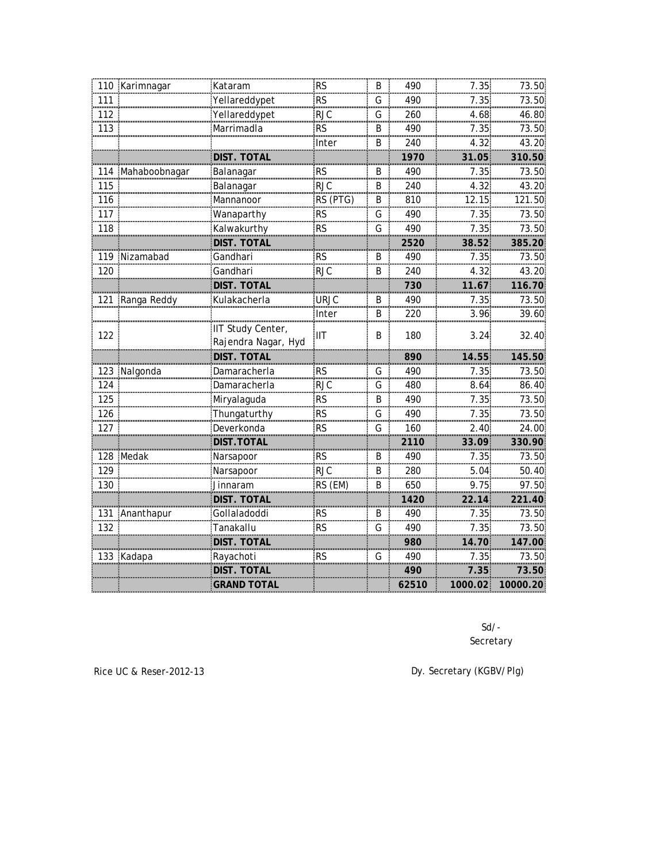|     | 110 Karimnagar    | Kataram             | <b>RS</b>              | B                 | 490     | 7.35    | 73.50      |
|-----|-------------------|---------------------|------------------------|-------------------|---------|---------|------------|
| 111 |                   | Yellareddypet       | $\overline{\text{RS}}$ | G                 | 490     | 7.35    | 73.50      |
| 112 |                   | Yellareddypet       | <b>RJC</b>             | G                 | 260     | 4.68    | 46.80      |
| 113 |                   | Marrimadla          | <b>RS</b>              | B                 | 490     | 7.35    | 73.50      |
|     |                   |                     | Inter                  | B                 | 240     | 4.32    | 43.20      |
|     |                   | DIST. TOTAL         |                        |                   | 1970    | 31.05   | 310.50     |
|     | 114 Mahaboobnagar | Balanagar           | <b>RS</b>              | B                 | 490     | 7.35    | 73.50      |
| 115 |                   | Balanagar           | <b>RJC</b>             | B                 | 240     | 4.32    | 43.20      |
| 116 |                   | Mannanoor           | RS (PTG)               | B                 | 810     | 12.15   | 121.50     |
| 117 |                   | Wanaparthy          | <b>RS</b><br>.         | G<br><b>TELES</b> | 490<br> | 7.35    | 73.50      |
| 118 |                   | Kalwakurthy         | <b>RS</b>              | G                 | 490     | 7.35    | 73.50      |
|     |                   | DIST. TOTAL         |                        |                   | 2520    | 38.52   | 385.20     |
|     | 119 Nizamabad     | Gandhari            | <b>RS</b>              | B                 | 490     | 7.35    | 73.50      |
| 120 |                   | Gandhari            | <b>RJC</b>             | B                 | 240     | 4.32    | 43.20      |
|     |                   | DIST. TOTAL         |                        |                   | 730     | 11.67   | 116.70     |
|     | 121 Ranga Reddy   | Kulakacherla        | <b>URJC</b>            | B                 | 490     | 7.35    | 73.50      |
|     |                   |                     | Inter                  | B                 | 220     | 3.96    | 39.60      |
|     |                   | IIT Study Center,   | IIТ                    | B                 | 180     | 3.24    | 32.40      |
| 122 |                   | Rajendra Nagar, Hyd |                        |                   |         |         |            |
|     |                   | <b>DIST. TOTAL</b>  |                        |                   | 890     | 14.55   | 145.50     |
|     | 123 Nalgonda      | Damaracherla        | <b>RS</b>              | G                 | 490     | 7.35    | 73.50      |
| 124 |                   | Damaracherla        | <b>RJC</b>             | G                 | 480     | 8.64    | 86.40      |
| 125 |                   | <br>Miryalaguda     | <b>RS</b>              | B                 | 490     | 7.35    | 73.50      |
| 126 |                   | Thungaturthy        | <b>RS</b>              | G                 | 490     | 7.35    | 73.50      |
| 127 |                   | Deverkonda          | <b>RS</b>              | G                 | 160     | 2.40    | 24.00      |
|     |                   | DIST.TOTAL          |                        |                   | 2110    | 33.09   | 330.90     |
|     | 128 Medak         | Narsapoor           | RS                     | B                 | 490     | 7.35    | 73.50      |
| 129 |                   | Narsapoor           | <b>RJC</b>             | B                 | 280     | 5.04    | 50.40      |
| 130 |                   | Jinnaram            | RS (EM)                | B                 | 650     | 9.75    | 97.50      |
|     |                   | DIST. TOTAL         |                        |                   | 1420    | 22.14   | 221.40     |
|     | 131 Ananthapur    | Gollaladoddi        | <b>RS</b>              | B                 | 490     | 7.35    | 73.50      |
| 132 |                   | Tanakallu           | <b>RS</b>              | G                 | 490     | 7.35    | 73.50      |
|     |                   | <b>DIST. TOTAL</b>  |                        |                   | 980     | 14.70   | 147.00     |
|     | 133 Kadapa        | Rayachoti           | RS                     | G                 | 490     | 7.35    | 73.50      |
|     |                   | DIST. TOTAI         |                        |                   | 490     | 7.35    | .<br>73.50 |
|     |                   | GRAND TOTAL         |                        |                   | 62510   | 1000.02 | 10000.20   |
|     |                   |                     |                        |                   |         |         |            |

Secretary Sd/-

Rice UC & Reser-2012-13 **Dy.** Secretary (KGBV/Plg)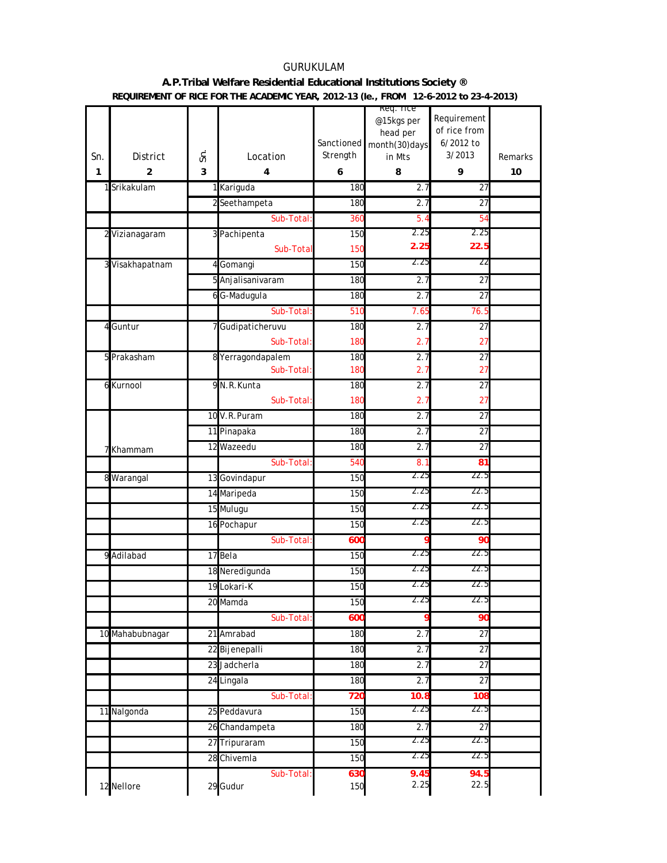### GURUKULAM **A.P.Tribal Welfare Residential Educational Institutions Society ® REQUIREMENT OF RICE FOR THE ACADEMIC YEAR, 2012-13 (Ie., FROM 12-6-2012 to 23-4-2013)**

|     |                 |    |                   |            | keq. rice              | Requirement     |                |
|-----|-----------------|----|-------------------|------------|------------------------|-----------------|----------------|
|     |                 |    |                   |            | @15kgs per<br>head per | of rice from    |                |
|     |                 |    |                   | Sanctioned | month(30) days         | 6/2012 to       |                |
| Sn. | <b>District</b> | Ś. | Location          | Strength   | in Mts                 | 3/2013          | <b>Remarks</b> |
| 1   | 2               | 3  | 4                 | 6          | 8                      | 9               | 10             |
|     | 1 Srikakulam    |    | 1 Kariguda        | 180        | 2.7                    | $\overline{27}$ |                |
|     |                 |    | 2 Seethampeta     | 180        | 2.7                    | 27              |                |
|     |                 |    | Sub-Total:        | 360        | 5.4                    | 54              |                |
|     | 2 Vizianagaram  |    | 3 Pachipenta      | 150        | 2.25                   | 2.25            |                |
|     |                 |    | Sub-Total         | 150        | 2.25                   | 22.5            |                |
|     | 3 Visakhapatnam |    | 4 Gomangi         | 150        | 2.25                   | 22              |                |
|     |                 |    | 5 Anjalisanivaram | 180        | 2.7                    | 27              |                |
|     |                 |    | 6 G-Madugula      | 180        | 2.7                    | 27              |                |
|     |                 |    | Sub-Total:        | 510        | 7.65                   | 76.5            |                |
| 4   | Guntur          |    | 7 Gudipaticheruvu | 180        | 2.7                    | 27              |                |
|     |                 |    | Sub-Total:        | 180        | 2.7                    | 27              |                |
|     | 5 Prakasham     |    | 8 Yerragondapalem | 180        | 2.7                    | $\overline{27}$ |                |
|     |                 |    | Sub-Total:        | 180        | 2.7                    | 27              |                |
|     | 6 Kurnool       |    | 9 N.R. Kunta      | 180        | 2.7                    | 27              |                |
|     |                 |    | Sub-Total:        | 180        | 2.7                    | 27              |                |
|     |                 |    | 10 V.R.Puram      | 180        | 2.7                    | 27              |                |
|     |                 |    | 11 Pinapaka       | 180        | 2.7                    | 27              |                |
| 7   | Khammam         |    | 12 Wazeedu        | 180        | 2.7                    | $\overline{27}$ |                |
|     |                 |    | Sub-Total:        | 540        | 8.1                    | 81              |                |
| 8   | Warangal        |    | 13 Govindapur     | 150        | 2.25                   | 22.5            |                |
|     |                 |    | 14 Maripeda       | 150        | 2.25                   | 22.5            |                |
|     |                 |    | 15 Mulugu         | 150        | 2.25                   | 22.5            |                |
|     |                 |    | 16 Pochapur       | 150        | 2.25                   | 22.5            |                |
|     |                 |    | Sub-Total         | <b>600</b> | q                      | 90              |                |
|     | 9 Adilabad      |    | 17 Bela           | 150        | 2.25                   | 22.5            |                |
|     |                 |    | 18 Neredigunda    | 150        | 2.25                   | 22.5            |                |
|     |                 |    | 19 Lokari-K       | 150        | 2.25                   | 22.5            |                |
|     |                 |    | 20 Mamda          | 150        | 2.25                   | 22.5            |                |
|     |                 |    | Sub-Total:        | 600        | 9                      | 90              |                |
|     | 10 Mahabubnagar |    | 21 Amrabad        | 180        | 2.7                    | 27              |                |
|     |                 |    | 22 Bijenepalli    | 180        | 2.7                    | 27              |                |
|     |                 |    | 23 Jadcherla      | 180        | 2.7                    | 27              |                |
|     |                 |    | 24 Lingala        | 180        | 2.7                    | 27              |                |
|     |                 |    | Sub-Total:        | 720        | 10.8                   | 108             |                |
|     | 11 Nalgonda     |    | 25 Peddavura      | 150        | 2.25                   | 22.5            |                |
|     |                 |    | 26 Chandampeta    | 180        | 2.7                    | 27              |                |
|     |                 |    | 27 Tripuraram     | 150        | 2.25                   | 22.5            |                |
|     |                 |    | 28 Chivemla       | 150        | 2.25                   | 22.5            |                |
|     |                 |    | Sub-Total:        | 630        | 9.45                   | 94.5            |                |
|     | 12 Nellore      |    | 29 Gudur          | 150        | 2.25                   | 22.5            |                |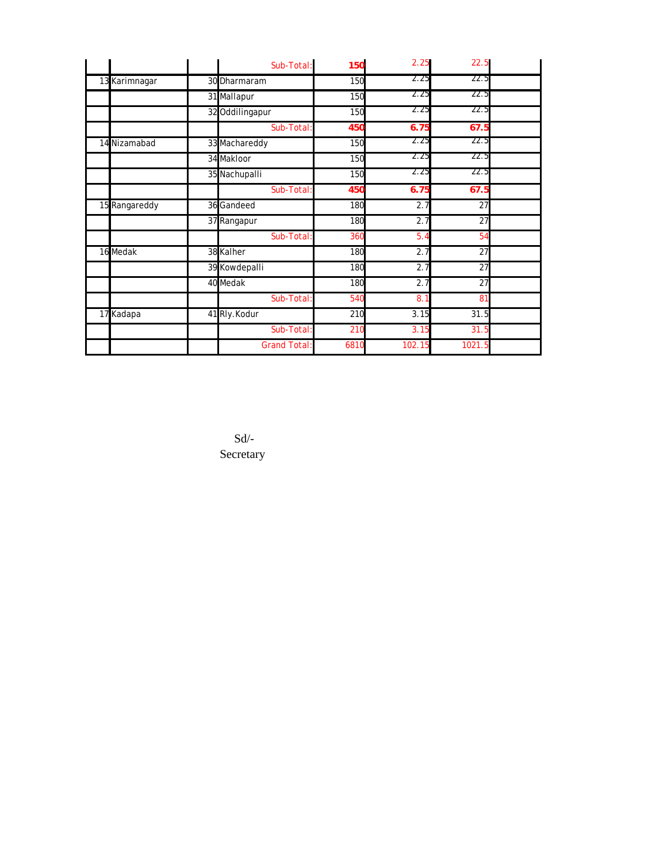|               | Sub-Total:          | 150  | 2.25   | 22.5   |  |
|---------------|---------------------|------|--------|--------|--|
| 13 Karimnagar | 30 Dharmaram        | 150  | 2.25   | 22.5   |  |
|               | 31 Mallapur         | 150  | 2.25   | 22.5   |  |
|               | 32 Oddilingapur     | 150  | 2.25   | 22.5   |  |
|               | Sub-Total:          | 450  | 6.75   | 67.5   |  |
| 14 Nizamabad  | 33 Machareddy       | 150  | 2.25   | 22.5   |  |
|               | 34 Makloor          | 150  | 2.25   | 22.5   |  |
|               | 35 Nachupalli       | 150  | 2.25   | 22.5   |  |
|               | Sub-Total:          | 450  | 6.75   | 67.5   |  |
| 15 Rangareddy | 36 Gandeed          | 180  | 2.7    | 27     |  |
|               | 37 Rangapur         | 180  | 2.7    | 27     |  |
|               | Sub-Total:          | 360  | 5.4    | 54     |  |
| 16 Medak      | 38 Kalher           | 180  | 2.7    | 27     |  |
|               | 39 Kowdepalli       | 180  | 2.7    | 27     |  |
|               | 40 Medak            | 180  | 2.7    | 27     |  |
|               | Sub-Total:          | 540  | 8.1    | 81     |  |
| 17 Kadapa     | 41 Rly.Kodur        | 210  | 3.15   | 31.5   |  |
|               | Sub-Total:          | 210  | 3.15   | 31.5   |  |
|               | <b>Grand Total:</b> | 6810 | 102.15 | 1021.5 |  |

 Sd/- Secretary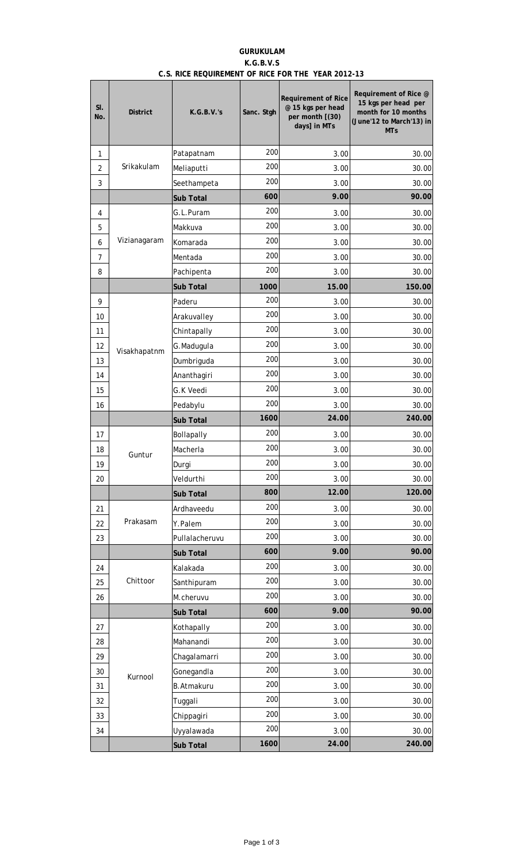# **GURUKULAM K.G.B.V.S C.S. RICE REQUIREMENT OF RICE FOR THE YEAR 2012-13**

| SI.<br>No.     | <b>District</b> | K.G.B.V.'s        | Sanc. Stgh | <b>Requirement of Rice</b><br>@ 15 kgs per head<br>per month [(30)<br>days] in MTs | Requirement of Rice @<br>15 kgs per head per<br>month for 10 months<br>(June'12 to March'13) in<br><b>MTs</b> |
|----------------|-----------------|-------------------|------------|------------------------------------------------------------------------------------|---------------------------------------------------------------------------------------------------------------|
| 1              |                 | Patapatnam        | 200        | 3.00                                                                               | 30.00                                                                                                         |
| $\overline{2}$ | Srikakulam      | Meliaputti        | 200        | 3.00                                                                               | 30.00                                                                                                         |
| 3              |                 | Seethampeta       | 200        | 3.00                                                                               | 30.00                                                                                                         |
|                |                 | Sub Total         | 600        | 9.00                                                                               | 90.00                                                                                                         |
| 4              |                 | G.L.Puram         | 200        | 3.00                                                                               | 30.00                                                                                                         |
| 5              |                 | Makkuva           | 200        | 3.00                                                                               | 30.00                                                                                                         |
| 6              | Vizianagaram    | Komarada          | 200        | 3.00                                                                               | 30.00                                                                                                         |
| 7              |                 | Mentada           | 200        | 3.00                                                                               | 30.00                                                                                                         |
| 8              |                 | Pachipenta        | 200        | 3.00                                                                               | 30.00                                                                                                         |
|                |                 | Sub Total         | 1000       | 15.00                                                                              | 150.00                                                                                                        |
| 9              |                 | Paderu            | 200        | 3.00                                                                               | 30.00                                                                                                         |
| 10             |                 | Arakuvalley       | 200        | 3.00                                                                               | 30.00                                                                                                         |
| 11             |                 | Chintapally       | 200        | 3.00                                                                               | 30.00                                                                                                         |
| 12             | Visakhapatnm    | G.Madugula        | 200        | 3.00                                                                               | 30.00                                                                                                         |
| 13             |                 | Dumbriguda        | 200        | 3.00                                                                               | 30.00                                                                                                         |
| 14             |                 | Ananthagiri       | 200        | 3.00                                                                               | 30.00                                                                                                         |
| 15             |                 | G.K Veedi         | 200        | 3.00                                                                               | 30.00                                                                                                         |
| 16             |                 | Pedabylu          | 200        | 3.00                                                                               | 30.00                                                                                                         |
|                |                 | Sub Total         | 1600       | 24.00                                                                              | 240.00                                                                                                        |
| 17             |                 | Bollapally        | 200        | 3.00                                                                               | 30.00                                                                                                         |
| 18             | Guntur          | Macherla          | 200        | 3.00                                                                               | 30.00                                                                                                         |
| 19             |                 | Durgi             | 200        | 3.00                                                                               | 30.00                                                                                                         |
| 20             |                 | Veldurthi         | 200        | 3.00                                                                               | 30.00                                                                                                         |
|                |                 | Sub Total         | 800        | 12.00                                                                              | 120.00                                                                                                        |
| 21             |                 | Ardhaveedu        | 200        | 3.00                                                                               | 30.00                                                                                                         |
| 22             | Prakasam        | Y.Palem           | 200        | 3.00                                                                               | 30.00                                                                                                         |
| 23             |                 | Pullalacheruvu    | 200        | 3.00                                                                               | 30.00                                                                                                         |
|                |                 | Sub Total         | 600        | 9.00                                                                               | 90.00                                                                                                         |
| 24             |                 | Kalakada          | 200        | 3.00                                                                               | 30.00                                                                                                         |
| 25             | Chittoor        | Santhipuram       | 200        | 3.00                                                                               | 30.00                                                                                                         |
| 26             |                 | M.cheruvu         | 200        | 3.00                                                                               | 30.00                                                                                                         |
|                |                 | Sub Total         | 600        | 9.00                                                                               | 90.00                                                                                                         |
| 27             |                 | Kothapally        | 200        | 3.00                                                                               | 30.00                                                                                                         |
| 28             |                 | Mahanandi         | 200        | 3.00                                                                               | 30.00                                                                                                         |
| 29             |                 | Chagalamarri      | 200        | 3.00                                                                               | 30.00                                                                                                         |
| 30             | Kurnool         | Gonegandla        | 200        | 3.00                                                                               | 30.00                                                                                                         |
| 31             |                 | <b>B.Atmakuru</b> | 200        | 3.00                                                                               | 30.00                                                                                                         |
| 32             |                 | Tuggali           | 200        | 3.00                                                                               | 30.00                                                                                                         |
| 33             |                 | Chippagiri        | 200        | 3.00                                                                               | 30.00                                                                                                         |
| 34             |                 | Uyyalawada        | 200        | 3.00                                                                               | 30.00                                                                                                         |
|                |                 | Sub Total         | 1600       | 24.00                                                                              | 240.00                                                                                                        |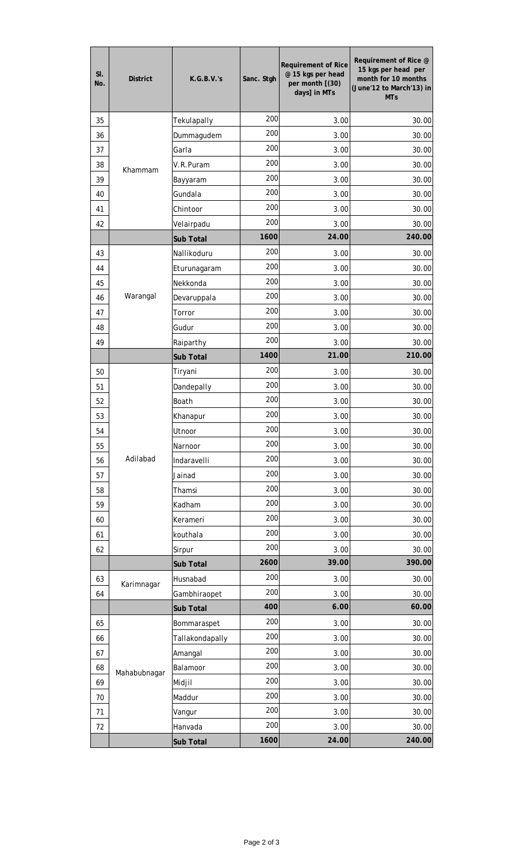| SI.<br>No. | <b>District</b> | K.G.B.V.'s      | Sanc. Stgh | <b>Requirement of Rice</b><br>@ 15 kgs per head<br>per month [(30)<br>days] in MTs | Requirement of Rice @<br>15 kgs per head per<br>month for 10 months<br>(June'12 to March'13) in<br><b>MTs</b> |
|------------|-----------------|-----------------|------------|------------------------------------------------------------------------------------|---------------------------------------------------------------------------------------------------------------|
| 35         |                 | Tekulapally     | 200        | 3.00                                                                               | 30.00                                                                                                         |
| 36         |                 | Dummagudem      | 200        | 3.00                                                                               | 30.00                                                                                                         |
| 37         |                 | Garla           | 200        | 3.00                                                                               | 30.00                                                                                                         |
| 38         |                 | V.R.Puram       | 200        | 3.00                                                                               | 30.00                                                                                                         |
| 39         | Khammam         | Bayyaram        | 200        | 3.00                                                                               | 30.00                                                                                                         |
| 40         |                 | Gundala         | 200        | 3.00                                                                               | 30.00                                                                                                         |
| 41         |                 | Chintoor        | 200        | 3.00                                                                               | 30.00                                                                                                         |
| 42         |                 | Velairpadu      | 200        | 3.00                                                                               | 30.00                                                                                                         |
|            |                 | Sub Total       | 1600       | 24.00                                                                              | 240.00                                                                                                        |
| 43         |                 | Nallikoduru     | 200        | 3.00                                                                               | 30.00                                                                                                         |
| 44         |                 | Eturunagaram    | 200        | 3.00                                                                               | 30.00                                                                                                         |
| 45         |                 | Nekkonda        | 200        | 3.00                                                                               | 30.00                                                                                                         |
| 46         | Warangal        | Devaruppala     | 200        | 3.00                                                                               | 30.00                                                                                                         |
| 47         |                 | Torror          | 200        | 3.00                                                                               | 30.00                                                                                                         |
| 48         |                 | Gudur           | 200        | 3.00                                                                               | 30.00                                                                                                         |
| 49         |                 | Raiparthy       | 200        | 3.00                                                                               | 30.00                                                                                                         |
|            |                 | Sub Total       | 1400       | 21.00                                                                              | 210.00                                                                                                        |
| 50         |                 | Tiryani         | 200        | 3.00                                                                               | 30.00                                                                                                         |
| 51         |                 | Dandepally      | 200        | 3.00                                                                               | 30.00                                                                                                         |
| 52         |                 | Boath           | 200        | 3.00                                                                               | 30.00                                                                                                         |
| 53         |                 | Khanapur        | 200        | 3.00                                                                               | 30.00                                                                                                         |
| 54         |                 | Utnoor          | 200        | 3.00                                                                               | 30.00                                                                                                         |
| 55         |                 | Narnoor         | 200        | 3.00                                                                               | 30.00                                                                                                         |
| 56         | Adilabad        | Indaravelli     | 200        | 3.00                                                                               | 30.00                                                                                                         |
| 57         |                 | Jainad          | 200        | 3.00                                                                               | 30.00                                                                                                         |
| 58         |                 | Thamsi          | 200        | 3.00                                                                               | 30.00                                                                                                         |
| 59         |                 | Kadham          | 200        | 3.00                                                                               | 30.00                                                                                                         |
| 60         |                 | Kerameri        | 200        | 3.00                                                                               | 30.00                                                                                                         |
| 61         |                 | kouthala        | 200        | 3.00                                                                               | 30.00                                                                                                         |
| 62         |                 | Sirpur          | 200        | 3.00                                                                               | 30.00                                                                                                         |
|            |                 | Sub Total       | 2600       | 39.00                                                                              | 390.00                                                                                                        |
| 63         |                 | Husnabad        | 200        | 3.00                                                                               | 30.00                                                                                                         |
| 64         | Karimnagar      | Gambhiraopet    | 200        | 3.00                                                                               | 30.00                                                                                                         |
|            |                 | Sub Total       | 400        | 6.00                                                                               | 60.00                                                                                                         |
| 65         |                 | Bommaraspet     | 200        | 3.00                                                                               | 30.00                                                                                                         |
| 66         |                 | Tallakondapally | 200        | 3.00                                                                               | 30.00                                                                                                         |
| 67         |                 | Amangal         | 200        | 3.00                                                                               | 30.00                                                                                                         |
| 68         |                 | Balamoor        | 200        | 3.00                                                                               | 30.00                                                                                                         |
| 69         | Mahabubnagar    | Midjil          | 200        | 3.00                                                                               | 30.00                                                                                                         |
| 70         |                 | Maddur          | 200        | 3.00                                                                               | 30.00                                                                                                         |
| 71         |                 | Vangur          | 200        | 3.00                                                                               | 30.00                                                                                                         |
| 72         |                 | Hanvada         | 200        | 3.00                                                                               | 30.00                                                                                                         |
|            |                 | Sub Total       | 1600       | 24.00                                                                              | 240.00                                                                                                        |